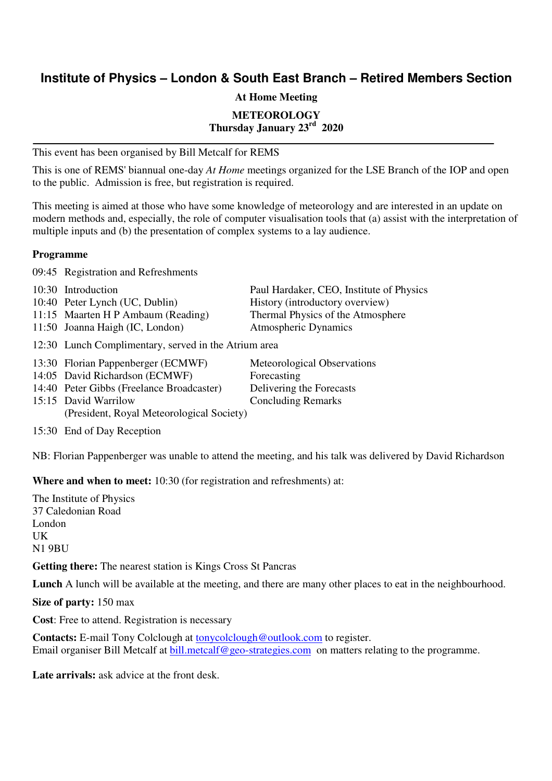## **Institute of Physics – London & South East Branch – Retired Members Section**

**At Home Meeting** 

**METEOROLOGY** 

**Thursday January 23rd 2020** 

This event has been organised by Bill Metcalf for REMS

This is one of REMS' biannual one-day *At Home* meetings organized for the LSE Branch of the IOP and open to the public. Admission is free, but registration is required.

This meeting is aimed at those who have some knowledge of meteorology and are interested in an update on modern methods and, especially, the role of computer visualisation tools that (a) assist with the interpretation of multiple inputs and (b) the presentation of complex systems to a lay audience.

### **Programme**

09:45 Registration and Refreshments

| 10:30 Introduction                                   | Paul Hardaker, CEO, Institute of Physics |
|------------------------------------------------------|------------------------------------------|
| 10:40 Peter Lynch (UC, Dublin)                       | History (introductory overview)          |
| 11:15 Maarten H P Ambaum (Reading)                   | Thermal Physics of the Atmosphere        |
| 11:50 Joanna Haigh (IC, London)                      | <b>Atmospheric Dynamics</b>              |
| 12:30 Lunch Complimentary, served in the Atrium area |                                          |
| 13:30 Florian Pappenberger (ECMWF)                   | Meteorological Observations              |
| 14:05 David Richardson (ECMWF)                       | Forecasting                              |
| 14:40 Peter Gibbs (Freelance Broadcaster)            | Delivering the Forecasts                 |
| 15:15 David Warrilow                                 | <b>Concluding Remarks</b>                |
| (President, Royal Meteorological Society)            |                                          |

15:30 End of Day Reception

NB: Florian Pappenberger was unable to attend the meeting, and his talk was delivered by David Richardson

**Where and when to meet:** 10:30 (for registration and refreshments) at:

The Institute of Physics 37 Caledonian Road London UK N1 9BU

**Getting there:** The nearest station is Kings Cross St Pancras

**Lunch** A lunch will be available at the meeting, and there are many other places to eat in the neighbourhood.

**Size of party:** 150 max

**Cost**: Free to attend. Registration is necessary

**Contacts:** E-mail Tony Colclough at tonycolclough@outlook.com to register. Email organiser Bill Metcalf at bill.metcalf@geo-strategies.com on matters relating to the programme.

**Late arrivals:** ask advice at the front desk.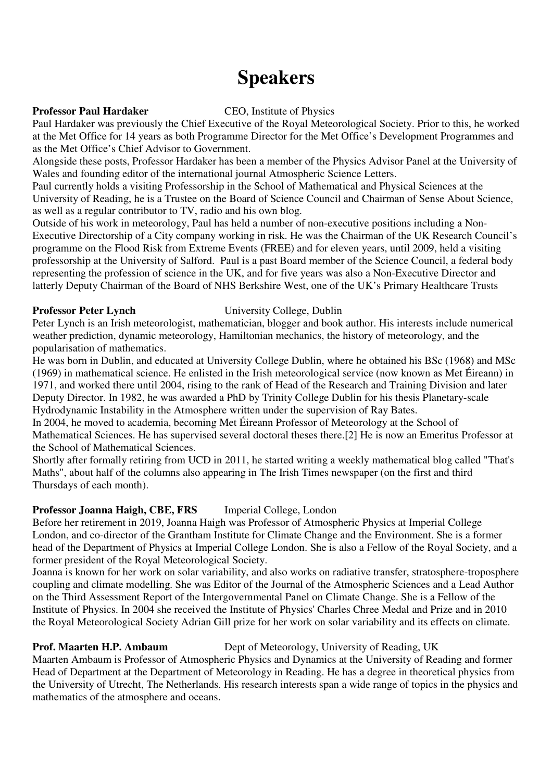# **Speakers**

### **Professor Paul Hardaker CEO, Institute of Physics**

Paul Hardaker was previously the Chief Executive of the Royal Meteorological Society. Prior to this, he worked at the Met Office for 14 years as both Programme Director for the Met Office's Development Programmes and as the Met Office's Chief Advisor to Government.

Alongside these posts, Professor Hardaker has been a member of the Physics Advisor Panel at the University of Wales and founding editor of the international journal Atmospheric Science Letters.

Paul currently holds a visiting Professorship in the School of Mathematical and Physical Sciences at the University of Reading, he is a Trustee on the Board of Science Council and Chairman of Sense About Science, as well as a regular contributor to TV, radio and his own blog.

Outside of his work in meteorology, Paul has held a number of non-executive positions including a Non-Executive Directorship of a City company working in risk. He was the Chairman of the UK Research Council's programme on the Flood Risk from Extreme Events (FREE) and for eleven years, until 2009, held a visiting professorship at the University of Salford. Paul is a past Board member of the Science Council, a federal body representing the profession of science in the UK, and for five years was also a Non-Executive Director and latterly Deputy Chairman of the Board of NHS Berkshire West, one of the UK's Primary Healthcare Trusts

### **Professor Peter Lynch** University College, Dublin

Peter Lynch is an Irish meteorologist, mathematician, blogger and book author. His interests include numerical weather prediction, dynamic meteorology, Hamiltonian mechanics, the history of meteorology, and the popularisation of mathematics.

He was born in Dublin, and educated at University College Dublin, where he obtained his BSc (1968) and MSc (1969) in mathematical science. He enlisted in the Irish meteorological service (now known as Met Éireann) in 1971, and worked there until 2004, rising to the rank of Head of the Research and Training Division and later Deputy Director. In 1982, he was awarded a PhD by Trinity College Dublin for his thesis Planetary-scale Hydrodynamic Instability in the Atmosphere written under the supervision of Ray Bates.

In 2004, he moved to academia, becoming Met Éireann Professor of Meteorology at the School of Mathematical Sciences. He has supervised several doctoral theses there.[2] He is now an Emeritus Professor at the School of Mathematical Sciences.

Shortly after formally retiring from UCD in 2011, he started writing a weekly mathematical blog called "That's Maths", about half of the columns also appearing in The Irish Times newspaper (on the first and third Thursdays of each month).

### **Professor Joanna Haigh, CBE, FRS** Imperial College, London

Before her retirement in 2019, Joanna Haigh was Professor of Atmospheric Physics at Imperial College London, and co-director of the Grantham Institute for Climate Change and the Environment. She is a former head of the Department of Physics at Imperial College London. She is also a Fellow of the Royal Society, and a former president of the Royal Meteorological Society.

Joanna is known for her work on solar variability, and also works on radiative transfer, stratosphere-troposphere coupling and climate modelling. She was Editor of the Journal of the Atmospheric Sciences and a Lead Author on the Third Assessment Report of the Intergovernmental Panel on Climate Change. She is a Fellow of the Institute of Physics. In 2004 she received the Institute of Physics' Charles Chree Medal and Prize and in 2010 the Royal Meteorological Society Adrian Gill prize for her work on solar variability and its effects on climate.

### **Prof. Maarten H.P. Ambaum** Dept of Meteorology, University of Reading, UK

Maarten Ambaum is Professor of Atmospheric Physics and Dynamics at the University of Reading and former Head of Department at the Department of Meteorology in Reading. He has a degree in theoretical physics from the University of Utrecht, The Netherlands. His research interests span a wide range of topics in the physics and mathematics of the atmosphere and oceans.